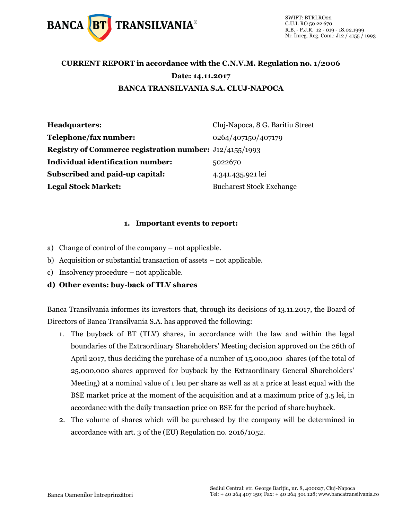

### **CURRENT REPORT in accordance with the C.N.V.M. Regulation no. 1/2006 Date: 14.11.2017 BANCA TRANSILVANIA S.A. CLUJ-NAPOCA**

| Headquarters:                                                  | Cluj-Napoca, 8 G. Baritiu Street |
|----------------------------------------------------------------|----------------------------------|
| Telephone/fax number:                                          | 0264/407150/407179               |
| <b>Registry of Commerce registration number:</b> J12/4155/1993 |                                  |
| <b>Individual identification number:</b>                       | 5022670                          |
| <b>Subscribed and paid-up capital:</b>                         | 4.341.435.921 lei                |
| <b>Legal Stock Market:</b>                                     | <b>Bucharest Stock Exchange</b>  |

#### **1. Important events to report:**

- a) Change of control of the company not applicable.
- b) Acquisition or substantial transaction of assets not applicable.
- c) Insolvency procedure not applicable.

### **d) Other events: buy-back of TLV shares**

Banca Transilvania informes its investors that, through its decisions of 13.11.2017, the Board of Directors of Banca Transilvania S.A. has approved the following:

- 1. The buyback of BT (TLV) shares, in accordance with the law and within the legal boundaries of the Extraordinary Shareholders' Meeting decision approved on the 26th of April 2017, thus deciding the purchase of a number of 15,000,000 shares (of the total of 25,000,000 shares approved for buyback by the Extraordinary General Shareholders' Meeting) at a nominal value of 1 leu per share as well as at a price at least equal with the BSE market price at the moment of the acquisition and at a maximum price of 3.5 lei, in accordance with the daily transaction price on BSE for the period of share buyback.
- 2. The volume of shares which will be purchased by the company will be determined in accordance with art. 3 of the (EU) Regulation no. 2016/1052.